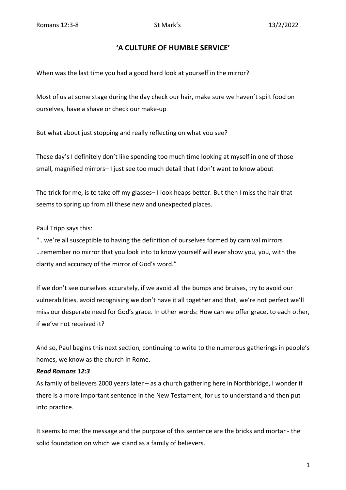## **'A CULTURE OF HUMBLE SERVICE'**

When was the last time you had a good hard look at yourself in the mirror?

Most of us at some stage during the day check our hair, make sure we haven't spilt food on ourselves, have a shave or check our make-up

But what about just stopping and really reflecting on what you see?

These day's I definitely don't like spending too much time looking at myself in one of those small, magnified mirrors– I just see too much detail that I don't want to know about

The trick for me, is to take off my glasses– I look heaps better. But then I miss the hair that seems to spring up from all these new and unexpected places.

## Paul Tripp says this:

"…we're all susceptible to having the definition of ourselves formed by carnival mirrors …remember no mirror that you look into to know yourself will ever show you, you, with the clarity and accuracy of the mirror of God's word."

If we don't see ourselves accurately, if we avoid all the bumps and bruises, try to avoid our vulnerabilities, avoid recognising we don't have it all together and that, we're not perfect we'll miss our desperate need for God's grace. In other words: How can we offer grace, to each other, if we've not received it?

And so, Paul begins this next section, continuing to write to the numerous gatherings in people's homes, we know as the church in Rome.

## *Read Romans 12:3*

As family of believers 2000 years later – as a church gathering here in Northbridge, I wonder if there is a more important sentence in the New Testament, for us to understand and then put into practice.

It seems to me; the message and the purpose of this sentence are the bricks and mortar - the solid foundation on which we stand as a family of believers.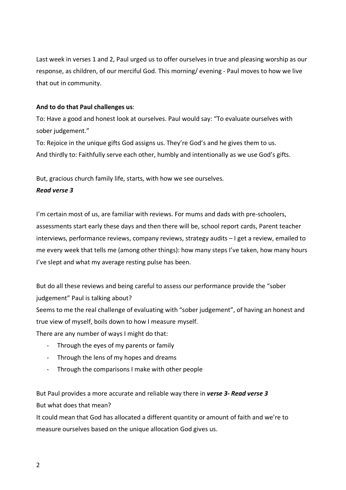Last week in verses 1 and 2, Paul urged us to offer ourselves in true and pleasing worship as our response, as children, of our merciful God. This morning/ evening - Paul moves to how we live that out in community.

## **And to do that Paul challenges us**:

To: Have a good and honest look at ourselves. Paul would say: "To evaluate ourselves with sober judgement."

To: Rejoice in the unique gifts God assigns us. They're God's and he gives them to us. And thirdly to: Faithfully serve each other, humbly and intentionally as we use God's gifts.

But, gracious church family life, starts, with how we see ourselves.

## *Read verse 3*

I'm certain most of us, are familiar with reviews. For mums and dads with pre-schoolers, assessments start early these days and then there will be, school report cards, Parent teacher interviews, performance reviews, company reviews, strategy audits – I get a review, emailed to me every week that tells me (among other things): how many steps I've taken, how many hours I've slept and what my average resting pulse has been.

But do all these reviews and being careful to assess our performance provide the "sober judgement" Paul is talking about?

Seems to me the real challenge of evaluating with "sober judgement", of having an honest and true view of myself, boils down to how I measure myself.

There are any number of ways I might do that:

- Through the eyes of my parents or family
- Through the lens of my hopes and dreams
- Through the comparisons I make with other people

But Paul provides a more accurate and reliable way there in *verse 3- Read verse 3* But what does that mean?

It could mean that God has allocated a different quantity or amount of faith and we're to measure ourselves based on the unique allocation God gives us.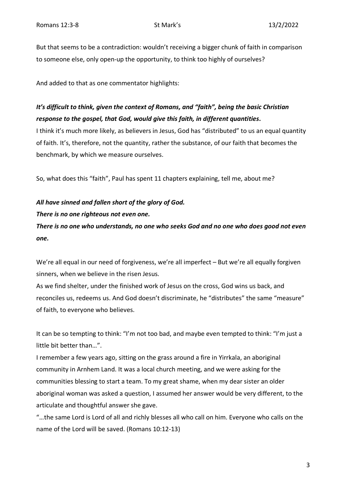But that seems to be a contradiction: wouldn't receiving a bigger chunk of faith in comparison to someone else, only open-up the opportunity, to think too highly of ourselves?

And added to that as one commentator highlights:

# *It's difficult to think, given the context of Romans, and "faith", being the basic Christian response to the gospel, that God, would give this faith, in different quantities***.**

I think it's much more likely, as believers in Jesus, God has "distributed" to us an equal quantity of faith. It's, therefore, not the quantity, rather the substance, of our faith that becomes the benchmark, by which we measure ourselves.

So, what does this "faith", Paul has spent 11 chapters explaining, tell me, about me?

## *All have sinned and fallen short of the glory of God.*

#### *There is no one righteous not even one.*

*There is no one who understands, no one who seeks God and no one who does good not even one.* 

We're all equal in our need of forgiveness, we're all imperfect – But we're all equally forgiven sinners, when we believe in the risen Jesus.

As we find shelter, under the finished work of Jesus on the cross, God wins us back, and reconciles us, redeems us. And God doesn't discriminate, he "distributes" the same "measure" of faith, to everyone who believes.

It can be so tempting to think: "I'm not too bad, and maybe even tempted to think: "I'm just a little bit better than…".

I remember a few years ago, sitting on the grass around a fire in Yirrkala, an aboriginal community in Arnhem Land. It was a local church meeting, and we were asking for the communities blessing to start a team. To my great shame, when my dear sister an older aboriginal woman was asked a question, I assumed her answer would be very different, to the articulate and thoughtful answer she gave.

"…the same Lord is Lord of all and richly blesses all who call on him. Everyone who calls on the name of the Lord will be saved. (Romans 10:12-13)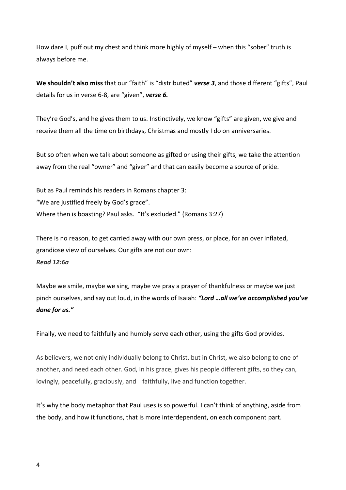How dare I, puff out my chest and think more highly of myself – when this "sober" truth is always before me.

**We shouldn't also miss** that our "faith" is "distributed" *verse 3*, and those different "gifts", Paul details for us in verse 6-8, are "given", *verse 6.*

They're God's, and he gives them to us. Instinctively, we know "gifts" are given, we give and receive them all the time on birthdays, Christmas and mostly I do on anniversaries.

But so often when we talk about someone as gifted or using their gifts, we take the attention away from the real "owner" and "giver" and that can easily become a source of pride.

But as Paul reminds his readers in Romans chapter 3: "We are justified freely by God's grace". Where then is boasting? Paul asks. "It's excluded." (Romans 3:27)

There is no reason, to get carried away with our own press, or place, for an over inflated, grandiose view of ourselves. Our gifts are not our own: *Read 12:6a* 

Maybe we smile, maybe we sing, maybe we pray a prayer of thankfulness or maybe we just pinch ourselves, and say out loud, in the words of Isaiah: *"Lord …all we've accomplished you've done for us."* 

Finally, we need to faithfully and humbly serve each other, using the gifts God provides.

As believers, we not only individually belong to Christ, but in Christ, we also belong to one of another, and need each other. God, in his grace, gives his people different gifts, so they can, lovingly, peacefully, graciously, and faithfully, live and function together.

It's why the body metaphor that Paul uses is so powerful. I can't think of anything, aside from the body, and how it functions, that is more interdependent, on each component part.